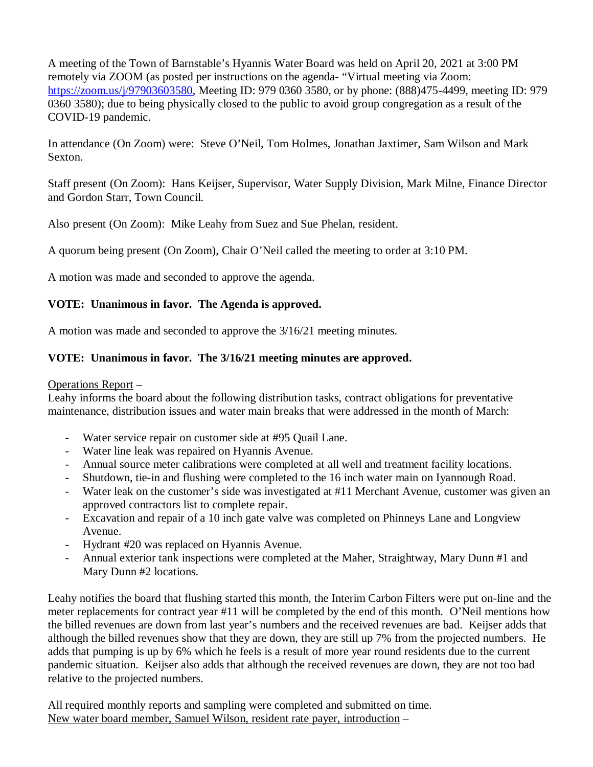A meeting of the Town of Barnstable's Hyannis Water Board was held on April 20, 2021 at 3:00 PM remotely via ZOOM (as posted per instructions on the agenda- "Virtual meeting via Zoom: https://zoom.us/j/97903603580, Meeting ID: 979 0360 3580, or by phone: (888)475-4499, meeting ID: 979 0360 3580); due to being physically closed to the public to avoid group congregation as a result of the COVID-19 pandemic.

In attendance (On Zoom) were: Steve O'Neil, Tom Holmes, Jonathan Jaxtimer, Sam Wilson and Mark Sexton.

Staff present (On Zoom): Hans Keijser, Supervisor, Water Supply Division, Mark Milne, Finance Director and Gordon Starr, Town Council.

Also present (On Zoom): Mike Leahy from Suez and Sue Phelan, resident.

A quorum being present (On Zoom), Chair O'Neil called the meeting to order at 3:10 PM.

A motion was made and seconded to approve the agenda.

## **VOTE: Unanimous in favor. The Agenda is approved.**

A motion was made and seconded to approve the 3/16/21 meeting minutes.

## **VOTE: Unanimous in favor. The 3/16/21 meeting minutes are approved.**

## Operations Report –

Leahy informs the board about the following distribution tasks, contract obligations for preventative maintenance, distribution issues and water main breaks that were addressed in the month of March:

- Water service repair on customer side at #95 Quail Lane.
- Water line leak was repaired on Hyannis Avenue.
- Annual source meter calibrations were completed at all well and treatment facility locations.
- Shutdown, tie-in and flushing were completed to the 16 inch water main on Iyannough Road.
- Water leak on the customer's side was investigated at #11 Merchant Avenue, customer was given an approved contractors list to complete repair.
- Excavation and repair of a 10 inch gate valve was completed on Phinneys Lane and Longview Avenue.
- Hydrant #20 was replaced on Hyannis Avenue.
- Annual exterior tank inspections were completed at the Maher, Straightway, Mary Dunn #1 and Mary Dunn #2 locations.

Leahy notifies the board that flushing started this month, the Interim Carbon Filters were put on-line and the meter replacements for contract year #11 will be completed by the end of this month. O'Neil mentions how the billed revenues are down from last year's numbers and the received revenues are bad. Keijser adds that although the billed revenues show that they are down, they are still up 7% from the projected numbers. He adds that pumping is up by 6% which he feels is a result of more year round residents due to the current pandemic situation. Keijser also adds that although the received revenues are down, they are not too bad relative to the projected numbers.

All required monthly reports and sampling were completed and submitted on time. New water board member, Samuel Wilson, resident rate payer, introduction –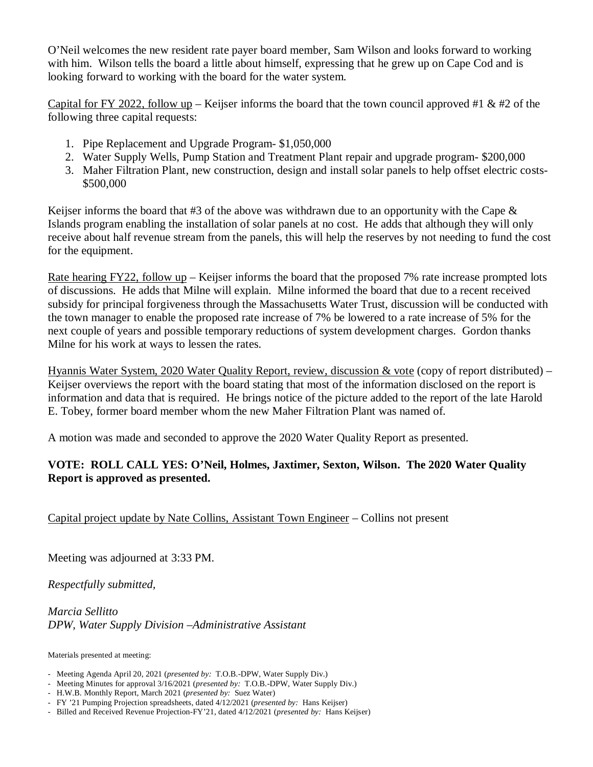O'Neil welcomes the new resident rate payer board member, Sam Wilson and looks forward to working with him. Wilson tells the board a little about himself, expressing that he grew up on Cape Cod and is looking forward to working with the board for the water system.

Capital for FY 2022, follow up – Keijser informs the board that the town council approved #1 & #2 of the following three capital requests:

- 1. Pipe Replacement and Upgrade Program- \$1,050,000
- 2. Water Supply Wells, Pump Station and Treatment Plant repair and upgrade program- \$200,000
- 3. Maher Filtration Plant, new construction, design and install solar panels to help offset electric costs- \$500,000

Keijser informs the board that #3 of the above was withdrawn due to an opportunity with the Cape  $\&$ Islands program enabling the installation of solar panels at no cost. He adds that although they will only receive about half revenue stream from the panels, this will help the reserves by not needing to fund the cost for the equipment.

Rate hearing FY22, follow up – Keijser informs the board that the proposed 7% rate increase prompted lots of discussions. He adds that Milne will explain. Milne informed the board that due to a recent received subsidy for principal forgiveness through the Massachusetts Water Trust, discussion will be conducted with the town manager to enable the proposed rate increase of 7% be lowered to a rate increase of 5% for the next couple of years and possible temporary reductions of system development charges. Gordon thanks Milne for his work at ways to lessen the rates.

Hyannis Water System, 2020 Water Quality Report, review, discussion & vote (copy of report distributed) – Keijser overviews the report with the board stating that most of the information disclosed on the report is information and data that is required. He brings notice of the picture added to the report of the late Harold E. Tobey, former board member whom the new Maher Filtration Plant was named of.

A motion was made and seconded to approve the 2020 Water Quality Report as presented.

## **VOTE: ROLL CALL YES: O'Neil, Holmes, Jaxtimer, Sexton, Wilson. The 2020 Water Quality Report is approved as presented.**

Capital project update by Nate Collins, Assistant Town Engineer – Collins not present

Meeting was adjourned at 3:33 PM.

*Respectfully submitted,*

*Marcia Sellitto DPW, Water Supply Division –Administrative Assistant*

Materials presented at meeting:

- Meeting Agenda April 20, 2021 (*presented by:* T.O.B.-DPW, Water Supply Div.)
- Meeting Minutes for approval 3/16/2021 (*presented by:* T.O.B.-DPW, Water Supply Div.)
- H.W.B. Monthly Report, March 2021 (*presented by:* Suez Water)
- FY '21 Pumping Projection spreadsheets, dated 4/12/2021 (*presented by:* Hans Keijser)
- Billed and Received Revenue Projection-FY'21, dated 4/12/2021 (*presented by:* Hans Keijser)